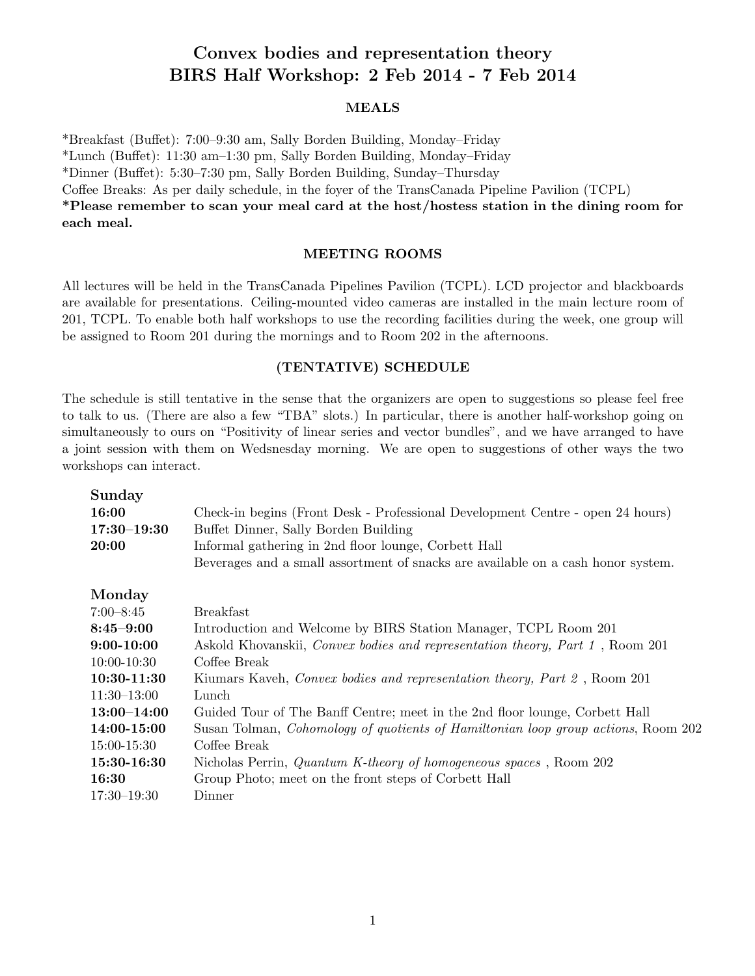## Convex bodies and representation theory BIRS Half Workshop: 2 Feb 2014 - 7 Feb 2014

## MEALS

\*Breakfast (Bu↵et): 7:00–9:30 am, Sally Borden Building, Monday–Friday

\*Lunch (Bu↵et): 11:30 am–1:30 pm, Sally Borden Building, Monday–Friday

\*Dinner (Bu↵et): 5:30–7:30 pm, Sally Borden Building, Sunday–Thursday

Coffee Breaks: As per daily schedule, in the foyer of the TransCanada Pipeline Pavilion (TCPL)

\*Please remember to scan your meal card at the host/hostess station in the dining room for each meal.

## MEETING ROOMS

All lectures will be held in the TransCanada Pipelines Pavilion (TCPL). LCD projector and blackboards are available for presentations. Ceiling-mounted video cameras are installed in the main lecture room of 201, TCPL. To enable both half workshops to use the recording facilities during the week, one group will be assigned to Room 201 during the mornings and to Room 202 in the afternoons.

## (TENTATIVE) SCHEDULE

The schedule is still tentative in the sense that the organizers are open to suggestions so please feel free to talk to us. (There are also a few "TBA" slots.) In particular, there is another half-workshop going on simultaneously to ours on "Positivity of linear series and vector bundles", and we have arranged to have a joint session with them on Wedsnesday morning. We are open to suggestions of other ways the two workshops can interact.

| Sunday<br>16:00<br>$17:30 - 19:30$<br>20:00 | Check-in begins (Front Desk - Professional Development Centre - open 24 hours)<br>Buffet Dinner, Sally Borden Building<br>Informal gathering in 2nd floor lounge, Corbett Hall<br>Beverages and a small assortment of snacks are available on a cash honor system. |
|---------------------------------------------|--------------------------------------------------------------------------------------------------------------------------------------------------------------------------------------------------------------------------------------------------------------------|
| Monday                                      |                                                                                                                                                                                                                                                                    |
| $7:00 - 8:45$                               | <b>Breakfast</b>                                                                                                                                                                                                                                                   |
| $8:45 - 9:00$                               | Introduction and Welcome by BIRS Station Manager, TCPL Room 201                                                                                                                                                                                                    |
| $9:00-10:00$                                | Askold Khovanskii, Convex bodies and representation theory, Part 1, Room 201                                                                                                                                                                                       |
| $10:00-10:30$                               | Coffee Break                                                                                                                                                                                                                                                       |
| 10:30-11:30                                 | Kiumars Kaveh, Convex bodies and representation theory, Part 2, Room 201                                                                                                                                                                                           |
| $11:30-13:00$                               | Lunch                                                                                                                                                                                                                                                              |
| $13:00 - 14:00$                             | Guided Tour of The Banff Centre; meet in the 2nd floor lounge, Corbett Hall                                                                                                                                                                                        |
| 14:00-15:00                                 | Susan Tolman, Cohomology of quotients of Hamiltonian loop group actions, Room 202                                                                                                                                                                                  |
| 15:00-15:30                                 | Coffee Break                                                                                                                                                                                                                                                       |
| 15:30-16:30                                 | Nicholas Perrin, <i>Quantum K-theory of homogeneous spaces</i> , Room 202                                                                                                                                                                                          |
| 16:30                                       | Group Photo; meet on the front steps of Corbett Hall                                                                                                                                                                                                               |
| $17:30 - 19:30$                             | Dinner                                                                                                                                                                                                                                                             |